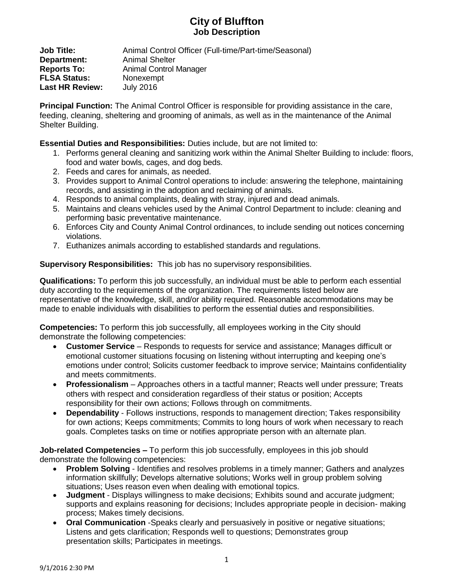## **City of Bluffton Job Description**

**Job Title:** Animal Control Officer (Full-time/Part-time/Seasonal) **Department:** Animal Shelter **Reports To:** Animal Control Manager **FLSA Status:** Nonexempt **Last HR Review:** July 2016

**Principal Function:** The Animal Control Officer is responsible for providing assistance in the care, feeding, cleaning, sheltering and grooming of animals, as well as in the maintenance of the Animal Shelter Building.

**Essential Duties and Responsibilities:** Duties include, but are not limited to:

- 1. Performs general cleaning and sanitizing work within the Animal Shelter Building to include: floors, food and water bowls, cages, and dog beds.
- 2. Feeds and cares for animals, as needed.
- 3. Provides support to Animal Control operations to include: answering the telephone, maintaining records, and assisting in the adoption and reclaiming of animals.
- 4. Responds to animal complaints, dealing with stray, injured and dead animals.
- 5. Maintains and cleans vehicles used by the Animal Control Department to include: cleaning and performing basic preventative maintenance.
- 6. Enforces City and County Animal Control ordinances, to include sending out notices concerning violations.
- 7. Euthanizes animals according to established standards and regulations.

**Supervisory Responsibilities:** This job has no supervisory responsibilities.

**Qualifications:** To perform this job successfully, an individual must be able to perform each essential duty according to the requirements of the organization. The requirements listed below are representative of the knowledge, skill, and/or ability required. Reasonable accommodations may be made to enable individuals with disabilities to perform the essential duties and responsibilities.

**Competencies:** To perform this job successfully, all employees working in the City should demonstrate the following competencies:

- **Customer Service** Responds to requests for service and assistance; Manages difficult or emotional customer situations focusing on listening without interrupting and keeping one's emotions under control; Solicits customer feedback to improve service; Maintains confidentiality and meets commitments.
- **Professionalism** Approaches others in a tactful manner; Reacts well under pressure; Treats others with respect and consideration regardless of their status or position; Accepts responsibility for their own actions; Follows through on commitments.
- **Dependability** Follows instructions, responds to management direction; Takes responsibility for own actions; Keeps commitments; Commits to long hours of work when necessary to reach goals. Completes tasks on time or notifies appropriate person with an alternate plan.

**Job-related Competencies –** To perform this job successfully, employees in this job should demonstrate the following competencies:

- **Problem Solving** Identifies and resolves problems in a timely manner; Gathers and analyzes information skillfully; Develops alternative solutions; Works well in group problem solving situations; Uses reason even when dealing with emotional topics.
- **Judgment**  Displays willingness to make decisions; Exhibits sound and accurate judgment; supports and explains reasoning for decisions; Includes appropriate people in decision- making process; Makes timely decisions.
- **Oral Communication** -Speaks clearly and persuasively in positive or negative situations; Listens and gets clarification; Responds well to questions; Demonstrates group presentation skills; Participates in meetings.